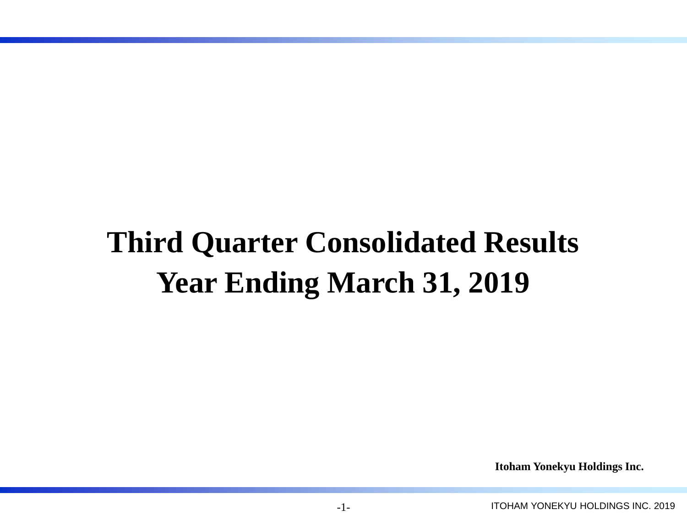# **Third Quarter Consolidated Results Year Ending March 31, 2019**

**Itoham Yonekyu Holdings Inc.**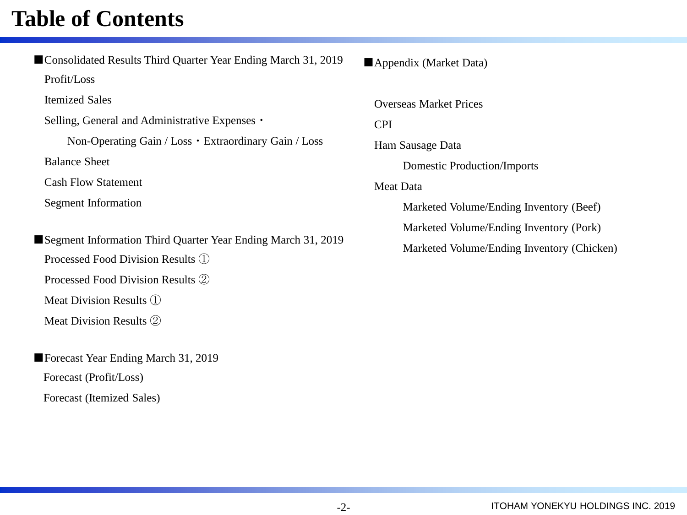### **Table of Contents**

| Consolidated Results Third Quarter Year Ending March 31, 2019 |
|---------------------------------------------------------------|
| Profit/Loss                                                   |
| <b>Itemized Sales</b>                                         |
| Selling, General and Administrative Expenses •                |
| Non-Operating Gain / Loss • Extraordinary Gain / Loss         |
| <b>Balance Sheet</b>                                          |
| <b>Cash Flow Statement</b>                                    |
| Segment Information                                           |
|                                                               |
| Segment Information Third Quarter Year Ending March 31, 2019  |

Processed Food Division Results ①

Processed Food Division Results ②

Meat Division Results ①

Meat Division Results ②

■Forecast Year Ending March 31, 2019 Forecast (Profit/Loss) Forecast (Itemized Sales)

■Appendix (Market Data)

Overseas Market Prices

CPI

Ham Sausage Data

Domestic Production/Imports

Meat Data

Marketed Volume/Ending Inventory (Beef)

Marketed Volume/Ending Inventory (Pork)

Marketed Volume/Ending Inventory (Chicken)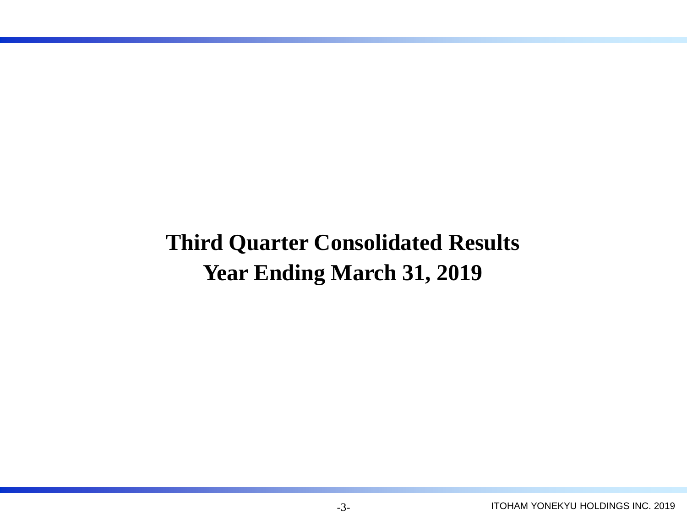## **Third Quarter Consolidated Results Year Ending March 31, 2019**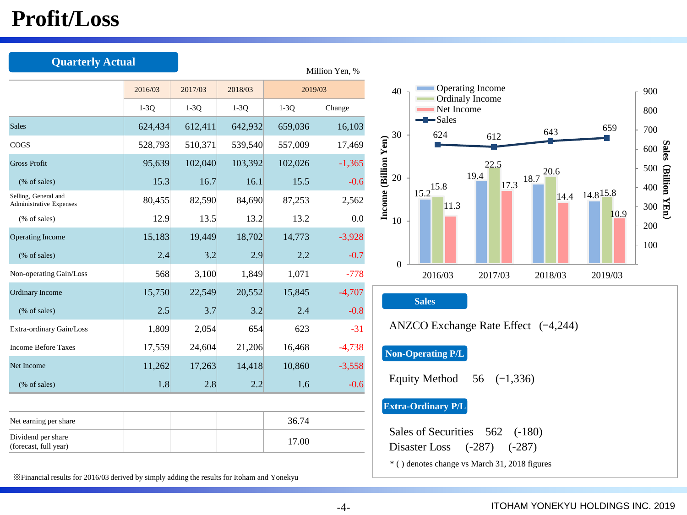## **Profit/Loss**

| <b>Quarterly Actual</b>                         |         |         |         |         | Million Yen, % |                                                                                        |
|-------------------------------------------------|---------|---------|---------|---------|----------------|----------------------------------------------------------------------------------------|
|                                                 | 2016/03 | 2017/03 | 2018/03 | 2019/03 |                | Operating Income<br>40                                                                 |
|                                                 | $1-3Q$  | $1-3Q$  | $1-3Q$  | $1-3Q$  | Change         | Ordinaly Income<br>Net Income                                                          |
| <b>Sales</b>                                    | 624,434 | 612,411 | 642,932 | 659,036 | 16,103         | $\blacktriangleright$ Sales<br>659<br>643<br>30<br>624                                 |
| <b>COGS</b>                                     | 528,793 | 510,371 | 539,540 | 557,009 | 17,469         | 612                                                                                    |
| <b>Gross Profit</b>                             | 95,639  | 102,040 | 103,392 | 102,026 | $-1,365$       | 22.5<br>20.6                                                                           |
| $%$ of sales)                                   | 15.3    | 16.7    | 16.1    | 15.5    | $-0.6$         | 19.4<br>$17.3$ 18.7<br>20<br>$15.2^{15.8}$                                             |
| Selling, General and<br>Administrative Expenses | 80,455  | 82,590  | 84,690  | 87,253  | 2,562          | Income (Billion Yen)<br>$14.4$ 14.8 <sup>15.8</sup><br>11.3                            |
| (% of sales)                                    | 12.9    | 13.5    | 13.2    | 13.2    | 0.0            | 10.<br>10                                                                              |
| <b>Operating Income</b>                         | 15,183  | 19,449  | 18,702  | 14,773  | $-3,928$       |                                                                                        |
| (% of sales)                                    | 2.4     | 3.2     | 2.9     | 2.2     | $-0.7$         | $\Omega$                                                                               |
| Non-operating Gain/Loss                         | 568     | 3,100   | 1,849   | 1,071   | $-778$         | 2016/03<br>2017/03<br>2018/03<br>2019/03                                               |
| Ordinary Income                                 | 15,750  | 22,549  | 20,552  | 15,845  | $-4,707$       | <b>Sales</b>                                                                           |
| $%$ of sales)                                   | 2.5     | 3.7     | 3.2     | 2.4     | $-0.8$         |                                                                                        |
| Extra-ordinary Gain/Loss                        | 1,809   | 2,054   | 654     | 623     | $-31$          | ANZCO Exchange Rate Effect $(-4,244)$                                                  |
| <b>Income Before Taxes</b>                      | 17,559  | 24,604  | 21,206  | 16,468  | $-4,738$       | <b>Non-Operating P/L</b>                                                               |
| Net Income                                      | 11,262  | 17,263  | 14,418  | 10,860  | $-3,558$       |                                                                                        |
| (% of sales)                                    | 1.8     | 2.8     | 2.2     | 1.6     | $-0.6$         | <b>Equity Method</b><br>56 $(-1,336)$                                                  |
|                                                 |         |         |         |         |                | <b>Extra-Ordinary P/L</b>                                                              |
| Net earning per share                           |         |         |         | 36.74   |                |                                                                                        |
| Dividend per share<br>(forecast, full year)     |         |         | 17.00   |         |                | <b>Sales of Securities</b><br>562<br>$(-180)$<br>Disaster Loss<br>$(-287)$<br>$(-287)$ |
|                                                 |         |         |         |         |                | * () denotes change vs March 31, 2018 figures                                          |

※Financial results for 2016/03 derived by simply adding the results for Itoham and Yonekyu

10.9

100

200 300

400

(**Billion YEn**

 $\overline{\phantom{0}}$ 

500 600 **Sales** 

700

800

900

-4-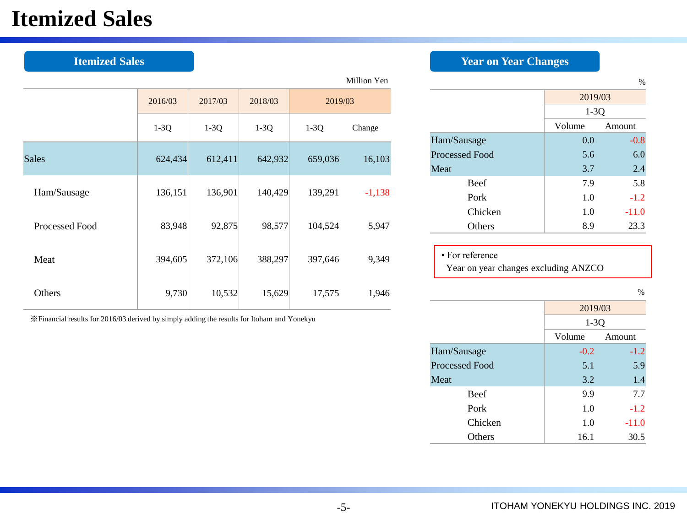## **Itemized Sales**

| <b>Itemized Sales</b> |         |         |         |         |             | <b>Year on Year Changes</b>                       |      |
|-----------------------|---------|---------|---------|---------|-------------|---------------------------------------------------|------|
|                       |         |         |         |         | Million Yen |                                                   |      |
|                       | 2016/03 | 2017/03 | 2018/03 | 2019/03 |             |                                                   |      |
|                       | $1-3Q$  | $1-3Q$  | $1-3Q$  | $1-3Q$  | Change      |                                                   | Volt |
| <b>Sales</b>          | 624,434 | 612,411 | 642,932 | 659,036 | 16,103      | Ham/Sausage<br>Processed Food<br>Meat             |      |
| Ham/Sausage           | 136,151 | 136,901 | 140,429 | 139,291 | $-1,138$    | Beef<br>Pork                                      |      |
| Processed Food        | 83,948  | 92,875  | 98,577  | 104,524 | 5,947       | Chicken<br>Others                                 |      |
| Meat                  | 394,605 | 372,106 | 388,297 | 397,646 | 9,349       | • For reference<br>Year on year changes excluding |      |
| Others                | 9,730   | 10,532  | 15,629  | 17,575  | 1,946       |                                                   |      |
|                       |         |         |         |         |             |                                                   |      |

※Financial results for 2016/03 derived by simply adding the results for Itoham and Yonekyu

| Million Yen |                |         | $\%$    |
|-------------|----------------|---------|---------|
| 03          |                | 2019/03 |         |
|             |                | $1-3Q$  |         |
| Change      |                | Volume  | Amount  |
|             | Ham/Sausage    | 0.0     | $-0.8$  |
| 16,103      | Processed Food | 5.6     | 6.0     |
|             | Meat           | 3.7     | 2.4     |
| $-1,138$    | <b>Beef</b>    | 7.9     | 5.8     |
|             | Pork           | 1.0     | $-1.2$  |
|             | Chicken        | 1.0     | $-11.0$ |
| 5,947       | Others         | 8.9     | 23.3    |
|             |                |         |         |

| $\cdot$ For reference                |  |
|--------------------------------------|--|
| Year on year changes excluding ANZCO |  |

%

|                       | 2019/03          |         |  |
|-----------------------|------------------|---------|--|
|                       | $1-3Q$           |         |  |
|                       | Volume<br>Amount |         |  |
| Ham/Sausage           | $-0.2$           | $-1.2$  |  |
| <b>Processed Food</b> | 5.1              | 5.9     |  |
| Meat                  | 3.2              | 1.4     |  |
| <b>Beef</b>           | 9.9              | 7.7     |  |
| Pork                  | 1.0              | $-1.2$  |  |
| Chicken               | 1.0              | $-11.0$ |  |
| <b>Others</b>         | 16.1             | 30.5    |  |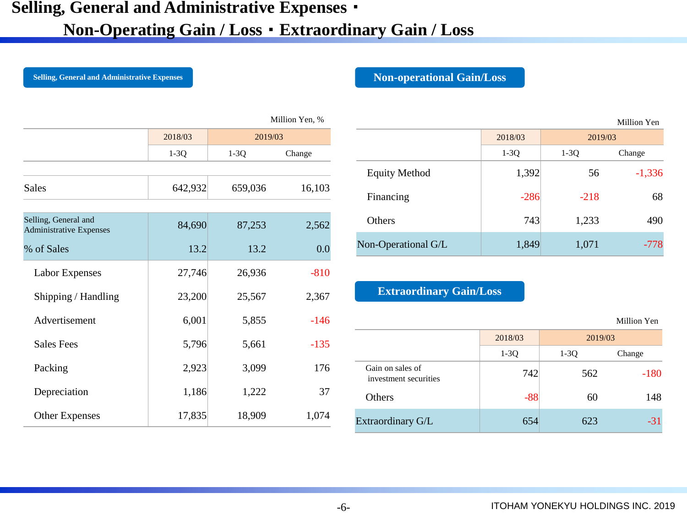### **Selling, General and Administrative Expenses**・

### **Non-Operating Gain / Loss**・**Extraordinary Gain / Loss**

**Selling, General and Administrative Expenses Non-operational Gain/Loss** 

|                                                        |         |         | Million Yen, % |
|--------------------------------------------------------|---------|---------|----------------|
|                                                        | 2018/03 | 2019/03 |                |
|                                                        | $1-3Q$  | $1-3Q$  | Change         |
|                                                        |         |         |                |
| <b>Sales</b>                                           | 642,932 | 659,036 | 16,103         |
|                                                        |         |         |                |
| Selling, General and<br><b>Administrative Expenses</b> | 84,690  | 87,253  | 2,562          |
| % of Sales                                             | 13.2    | 13.2    | 0.0            |
| <b>Labor Expenses</b>                                  | 27,746  | 26,936  | $-810$         |
| Shipping / Handling                                    | 23,200  | 25,567  | 2,367          |
| Advertisement                                          | 6,001   | 5,855   | $-146$         |
| <b>Sales Fees</b>                                      | 5,796   | 5,661   | $-135$         |
| Packing                                                | 2,923   | 3,099   | 176            |
| Depreciation                                           | 1,186   | 1,222   | 37             |
| <b>Other Expenses</b>                                  | 17,835  | 18,909  | 1,074          |

|                      |         |         | Million Yen |
|----------------------|---------|---------|-------------|
|                      | 2018/03 | 2019/03 |             |
|                      | $1-3Q$  | $1-3Q$  | Change      |
| <b>Equity Method</b> | 1,392   | 56      | $-1,336$    |
| Financing            | $-286$  | $-218$  | 68          |
| <b>Others</b>        | 743     | 1,233   | 490         |
| Non-Operational G/L  | 1,849   | 1,071   | $-778$      |

### **Extraordinary Gain/Loss**

|                                           |         |         | Million Yen |
|-------------------------------------------|---------|---------|-------------|
|                                           | 2018/03 | 2019/03 |             |
|                                           | $1-3Q$  | $1-3Q$  | Change      |
| Gain on sales of<br>investment securities | 742     | 562     | $-180$      |
| <b>Others</b>                             | $-88$   | 60      | 148         |
| Extraordinary G/L                         | 654     | 623     | $-31$       |

Million Yen

-6-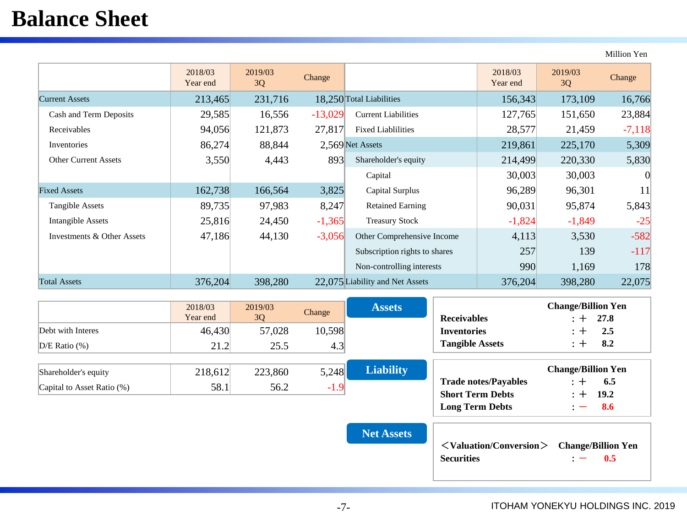## **Balance Sheet**

Million Yen

|                             | 2018/03<br>Year end | 2019/03<br>3Q | Change    |                                 | 2018/03<br>Year end | 2019/03<br>3Q | Change   |
|-----------------------------|---------------------|---------------|-----------|---------------------------------|---------------------|---------------|----------|
| <b>Current Assets</b>       | 213,465             | 231,716       |           | 18,250 Total Liabilities        | 156,343             | 173,109       | 16,766   |
| Cash and Term Deposits      | 29,585              | 16,556        | $-13,029$ | <b>Current Liabilities</b>      | 127,765             | 151,650       | 23,884   |
| Receivables                 | 94,056              | 121,873       | 27,817    | <b>Fixed Liablilities</b>       | 28,577              | 21,459        | $-7,118$ |
| Inventories                 | 86,274              | 88,844        |           | 2,569 Net Assets                | 219,861             | 225,170       | 5,309    |
| <b>Other Current Assets</b> | 3,550               | 4,443         | 893       | Shareholder's equity            | 214,499             | 220,330       | 5,830    |
|                             |                     |               |           | Capital                         | 30,003              | 30,003        | 0        |
| <b>Fixed Assets</b>         | 162,738             | 166,564       | 3,825     | Capital Surplus                 | 96,289              | 96,301        | 11       |
| Tangible Assets             | 89,735              | 97,983        | 8,247     | <b>Retained Earning</b>         | 90,031              | 95,874        | 5,843    |
| Intangible Assets           | 25,816              | 24,450        | $-1,365$  | <b>Treasury Stock</b>           | $-1,824$            | $-1,849$      | $-25$    |
| Investments & Other Assets  | 47,186              | 44,130        | $-3,056$  | Other Comprehensive Income      | 4,113               | 3,530         | $-582$   |
|                             |                     |               |           | Subscription rights to shares   | 257                 | 139           | $-117$   |
|                             |                     |               |           | Non-controlling interests       | 990                 | 1,169         | 178      |
| <b>Total Assets</b>         | 376,204             | 398,280       |           | 22,075 Liability and Net Assets | 376,204             | 398,280       | 22,075   |

|                            | 2018/03<br>Year end | 2019/03<br>3Q | Change | <b>Assets</b>    | <b>Receivables</b>          | <b>Change/Billion Yen</b><br>27.8<br>$\cdot$ + |
|----------------------------|---------------------|---------------|--------|------------------|-----------------------------|------------------------------------------------|
| Debt with Interes          | 46,430              | 57,028        | 10,598 |                  | <b>Inventories</b>          | 2.5<br>$+$                                     |
| $D/E$ Ratio $(\%)$         | 21.2                | 25.5          | 4.3    |                  | <b>Tangible Assets</b>      | 8.2<br>$\cdot$ + $\cdot$                       |
|                            |                     |               |        |                  |                             |                                                |
| Shareholder's equity       | 218,612             | 223,860       | 5,248  | <b>Liability</b> |                             | <b>Change/Billion Yen</b>                      |
| Capital to Asset Ratio (%) | 58.1                | 56.2          | $-1.9$ |                  | <b>Trade notes/Payables</b> | 6.5                                            |
|                            |                     |               |        |                  | <b>Short Term Debts</b>     | 19.2<br>$+$                                    |
|                            |                     |               |        |                  | <b>Long Term Debts</b>      | 8.6<br>$\overline{\phantom{0}}$                |

**Net Assets**

| $\langle$ Valuation/Conversion $\rangle$ Change/Billion Yen |                      |  |
|-------------------------------------------------------------|----------------------|--|
| <b>Securities</b>                                           | $\therefore$ $-$ 0.5 |  |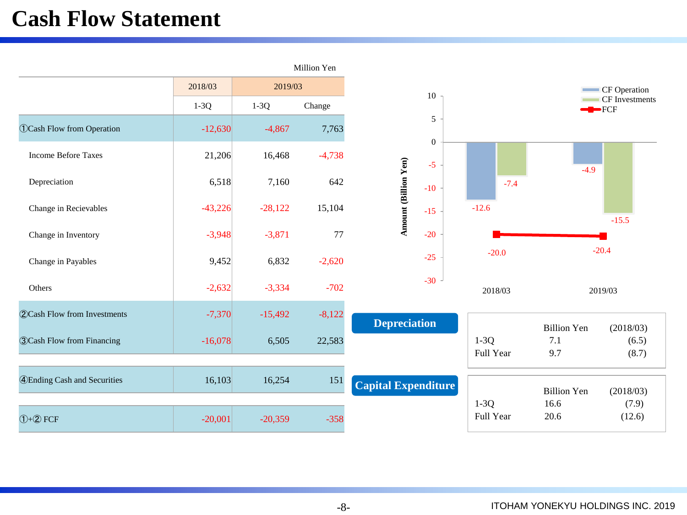## **Cash Flow Statement**

|                                       |           |           | Million Yen |                            |                   |                     |                    |                          |
|---------------------------------------|-----------|-----------|-------------|----------------------------|-------------------|---------------------|--------------------|--------------------------|
|                                       | 2018/03   | 2019/03   |             |                            |                   |                     |                    | CF Operation             |
|                                       | $1-3Q$    | $1-3Q$    | Change      |                            | 10                |                     |                    | CF Investments<br>$-FCF$ |
| <b>OCash Flow from Operation</b>      | $-12,630$ | $-4,867$  | 7,763       |                            | 5<br>$\mathbf{0}$ |                     |                    |                          |
| <b>Income Before Taxes</b>            | 21,206    | 16,468    | $-4,738$    |                            | $-5$              |                     |                    |                          |
| Depreciation                          | 6,518     | 7,160     | 642         | Amount (Billion Yen)       | $-10$             | $-7.4$              | $-4.9$             |                          |
| Change in Recievables                 | $-43,226$ | $-28,122$ | 15,104      |                            | $-15$             | $-12.6$             |                    | $-15.5$                  |
| Change in Inventory                   | $-3,948$  | $-3,871$  | 77          |                            | $-20$             |                     |                    |                          |
| Change in Payables                    | 9,452     | 6,832     | $-2,620$    |                            | $-25$             | $-20.0$             |                    | $-20.4$                  |
| Others                                | $-2,632$  | $-3,334$  | $-702$      |                            | $-30$             | 2018/03             |                    | 2019/03                  |
| <b>2</b> Cash Flow from Investments   | $-7,370$  | $-15,492$ | $-8,122$    | <b>Depreciation</b>        |                   |                     | <b>Billion Yen</b> | (2018/03)                |
| <b>3 Cash Flow from Financing</b>     | $-16,078$ | 6,505     | 22,583      |                            |                   | $1-3Q$<br>Full Year | 7.1<br>9.7         | (6.5)<br>(8.7)           |
| <b>4</b> ) Ending Cash and Securities | 16,103    | 16,254    | 151         | <b>Capital Expenditure</b> |                   |                     | <b>Billion Yen</b> | (2018/03)                |
| $(1+2)$ FCF                           | $-20,001$ | $-20,359$ | $-358$      |                            |                   | $1-3Q$<br>Full Year | 16.6<br>20.6       | (7.9)<br>(12.6)          |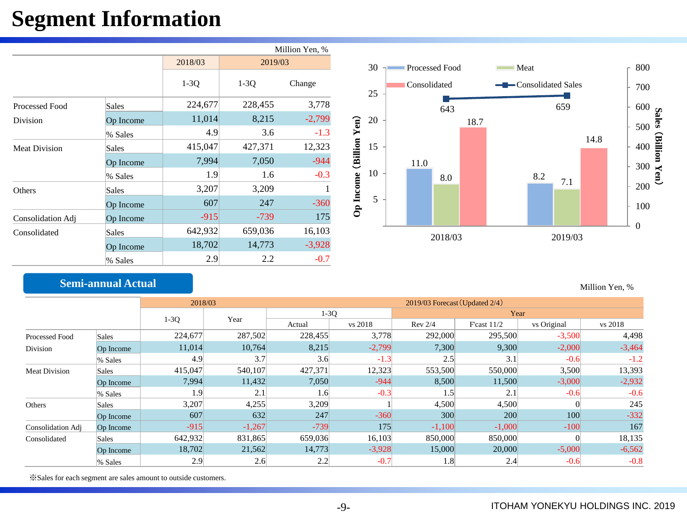## **Segment Information**

|                      |           |         |         | Million Yen, % |           |    |              |                |      |                     |      |  |
|----------------------|-----------|---------|---------|----------------|-----------|----|--------------|----------------|------|---------------------|------|--|
|                      |           | 2018/03 | 2019/03 |                |           | 30 |              | Processed Food |      | • Meat<br>$\sim$    |      |  |
|                      |           | $1-3Q$  | $1-3Q$  | Change         | 25        |    | Consolidated |                |      | -Consolidated Sales |      |  |
| Processed Food       | Sales     | 224,677 | 228,455 | 3,778          |           |    |              | 643            |      | 659                 |      |  |
| Division             | Op Income | 11,014  | 8,215   | $-2,799$       | Yem<br>20 |    |              |                | 18.7 |                     |      |  |
|                      | % Sales   | 4.9     | 3.6     | $-1.3$         |           |    |              |                |      |                     | 14.8 |  |
| <b>Meat Division</b> | Sales     | 415,047 | 427,371 | 12,323         | 15        |    |              |                |      |                     |      |  |
|                      | Op Income | 7,994   | 7,050   | $-944$         | (Billion  |    | 11.0         |                |      |                     |      |  |
|                      | % Sales   | 1.9     | 1.6     | $-0.3$         | 10        |    |              | 8.0            |      | 8.2<br>7.1          |      |  |
| Others               | Sales     | 3,207   | 3,209   |                | Op Income |    |              |                |      |                     |      |  |
|                      | Op Income | 607     | 247     | $-360$         |           | 5  |              |                |      |                     |      |  |
| Consolidation Adj    | Op Income | $-915$  | $-739$  | 175            |           |    |              |                |      |                     |      |  |
| Consolidated         | Sales     | 642,932 | 659,036 | 16,103         |           |    |              | 2018/03        |      | 2019/03             |      |  |
|                      | Op Income | 18,702  | 14,773  | $-3,928$       |           |    |              |                |      |                     |      |  |
|                      | % Sales   | 2.9     | 2.2     | $-0.7$         |           |    |              |                |      |                     |      |  |

### **Semi-annual Actual**

| Million Yen, % |  |  |
|----------------|--|--|
|----------------|--|--|

0

100 200

300

**Billion Yen**

 $\check{ }$ 

400

500  $\frac{600}{500}$   $\frac{8}{9}$ 

700

800

|                      |              | 2018/03 |          | $2019/03$ Forecast (Updated $2/4$ ) |          |          |               |             |          |  |  |  |
|----------------------|--------------|---------|----------|-------------------------------------|----------|----------|---------------|-------------|----------|--|--|--|
|                      |              | $1-3Q$  |          | $1-3Q$                              |          | Year     |               |             |          |  |  |  |
|                      |              |         | Year     | Actual                              | vs 2018  | Rev 2/4  | F'cast $11/2$ | vs Original | vs 2018  |  |  |  |
| Processed Food       | Sales        | 224,677 | 287,502  | 228,455                             | 3,778    | 292,000  | 295,500       | $-3,500$    | 4,498    |  |  |  |
| Division             | Op Income    | 11,014  | 10,764   | 8,215                               | $-2,799$ | 7,300    | 9,300         | $-2,000$    | $-3,464$ |  |  |  |
|                      | % Sales      | 4.9     | 3.7      | 3.6                                 | $-1.3$   | 2.5      | 3.1           | $-0.6$      | $-1.2$   |  |  |  |
| <b>Meat Division</b> | <b>Sales</b> | 415,047 | 540,107  | 427,371                             | 12,323   | 553,500  | 550,000       | 3,500       | 13,393   |  |  |  |
|                      | Op Income    | 7,994   | 11,432   | 7,050                               | $-944$   | 8,500    | 11,500        | $-3,000$    | $-2,932$ |  |  |  |
|                      | % Sales      | 1.9     | 2.1      | 1.6                                 | $-0.3$   | 1.5      | 2.1           | $-0.6$      | $-0.6$   |  |  |  |
| Others               | <b>Sales</b> | 3,207   | 4,255    | 3,209                               |          | 4,500    | 4,500         |             | 245      |  |  |  |
|                      | Op Income    | 607     | 632      | 247                                 | $-360$   | 300      | 200           | 100         | $-332$   |  |  |  |
| Consolidation Adj    | Op Income    | $-915$  | $-1,267$ | $-739$                              | 175      | $-1,100$ | $-1,000$      | $-100$      | 167      |  |  |  |
| Consolidated         | <b>Sales</b> | 642,932 | 831,865  | 659,036                             | 16,103   | 850,000  | 850,000       |             | 18,135   |  |  |  |
|                      | Op Income    | 18,702  | 21,562   | 14,773                              | $-3,928$ | 15,000   | 20,000        | $-5,000$    | $-6,562$ |  |  |  |
|                      | % Sales      | 2.9     | 2.6      | 2.2                                 | $-0.7$   | 1.8      | 2.4           | $-0.6$      | $-0.8$   |  |  |  |

※Sales for each segment are sales amount to outside customers.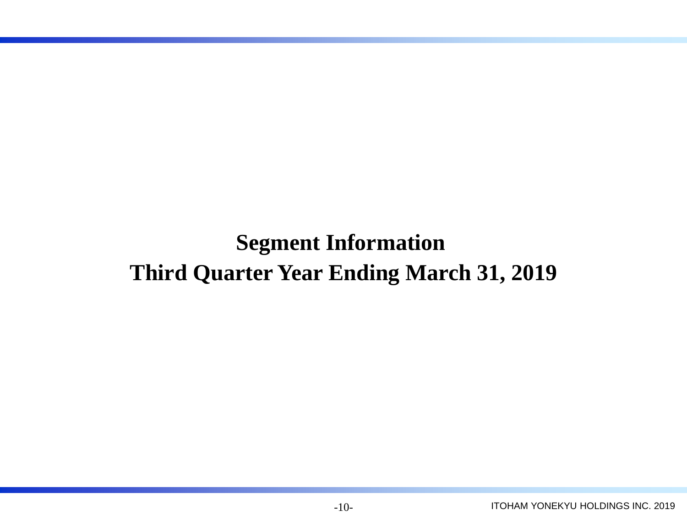**Segment Information Third Quarter Year Ending March 31, 2019**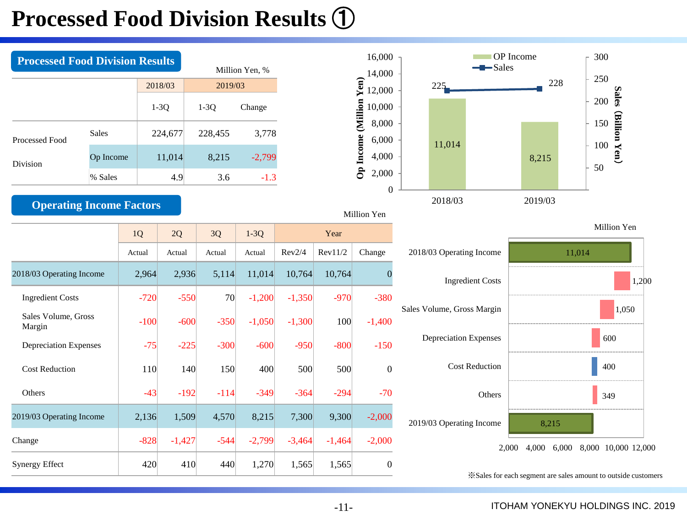## **Processed Food Division Results** ①

| <b>Processed Food Division Results</b> |              |         |                                 |                | 16,000                   |  |                    | OP In |  |
|----------------------------------------|--------------|---------|---------------------------------|----------------|--------------------------|--|--------------------|-------|--|
|                                        |              |         |                                 | Million Yen, % | 14,000                   |  | $\leftarrow$ Sales |       |  |
|                                        |              | 2018/03 | $\frac{1}{2}$ 12,000<br>2019/03 |                |                          |  |                    | 225   |  |
|                                        |              | $1-3Q$  | $1-3Q$                          | Change         | <b>Million</b><br>10,000 |  |                    |       |  |
| Processed Food                         | <b>Sales</b> | 224,677 | 228,455                         | 3,778          | 8,000<br>6,000           |  |                    |       |  |
| Division                               | Op Income    | 11,014  | 8,215                           | $-2,799$       | Income<br>4,000          |  | 11,014             |       |  |
|                                        | % Sales      | 4.9     | 3.6                             | $-1.3$         | ථි<br>2,000              |  |                    |       |  |

**Operating Income Factors**

#### 16,000 OP Income 300 14,000 250 Op Income (Million Yen) **Op Income (Million Yen)** 225 228 12,000 200 **Sales** 10,000 (Billion Yen) (**Billion Yen** 150 8,000 6,000 11,014 100 4,000 8,215 50 2,000 0 2018/03 2019/03

#### Million Yen

|                               | 1Q     | 2Q       | 3Q     | $1-3Q$   |          | Year     |                |
|-------------------------------|--------|----------|--------|----------|----------|----------|----------------|
|                               | Actual | Actual   | Actual | Actual   | Rev2/4   | Rev11/2  | Change         |
| 2018/03 Operating Income      | 2,964  | 2,936    | 5,114  | 11,014   | 10,764   | 10,764   | $\Omega$       |
| <b>Ingredient Costs</b>       | $-720$ | $-550$   | 70     | $-1,200$ | $-1,350$ | $-970$   | $-380$         |
| Sales Volume, Gross<br>Margin | $-100$ | $-600$   | $-350$ | $-1,050$ | $-1,300$ | 100      | $-1,400$       |
| Depreciation Expenses         | $-75$  | $-225$   | $-300$ | $-600$   | $-950$   | $-800$   | $-150$         |
| <b>Cost Reduction</b>         | 110    | 140      | 150    | 400      | 500      | 500      | $\overline{0}$ |
| Others                        | $-43$  | $-192$   | $-114$ | $-349$   | $-364$   | $-294$   | $-70$          |
| 2019/03 Operating Income      | 2,136  | 1,509    | 4,570  | 8,215    | 7,300    | 9,300    | $-2,000$       |
| Change                        | $-828$ | $-1,427$ | $-544$ | $-2,799$ | $-3,464$ | $-1,464$ | $-2,000$       |
| <b>Synergy Effect</b>         | 420    | 410      | 440    | 1,270    | 1,565    | 1,565    | $\overline{0}$ |





※Sales for each segment are sales amount to outside customers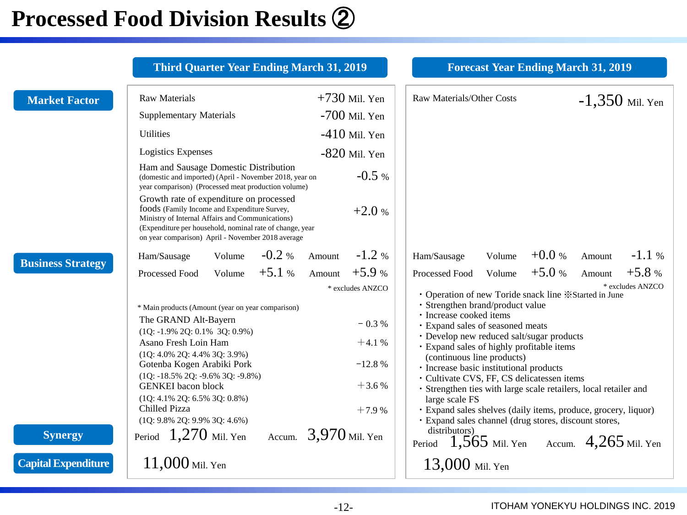## **Processed Food Division Results** ②

|                                              | <b>Third Quarter Year Ending March 31, 2019</b>                                                                                                                                                                                                                                                                                                                                               |                                                                                     | <b>Forecast Year Ending March 31, 2019</b>                                                                                                                                                                                                                                                                                                                                                                                                                                                                                                                                                                                                 |
|----------------------------------------------|-----------------------------------------------------------------------------------------------------------------------------------------------------------------------------------------------------------------------------------------------------------------------------------------------------------------------------------------------------------------------------------------------|-------------------------------------------------------------------------------------|--------------------------------------------------------------------------------------------------------------------------------------------------------------------------------------------------------------------------------------------------------------------------------------------------------------------------------------------------------------------------------------------------------------------------------------------------------------------------------------------------------------------------------------------------------------------------------------------------------------------------------------------|
| <b>Market Factor</b>                         | <b>Raw Materials</b><br><b>Supplementary Materials</b><br><b>Utilities</b><br><b>Logistics Expenses</b><br>Ham and Sausage Domestic Distribution<br>(domestic and imported) (April - November 2018, year on<br>year comparison) (Processed meat production volume)<br>Growth rate of expenditure on processed                                                                                 | $+730$ Mil. Yen<br>$-700$ Mil. Yen<br>$-410$ Mil. Yen<br>$-820$ Mil. Yen<br>$-0.5%$ | <b>Raw Materials/Other Costs</b><br>$-1,350$ Mil. Yen                                                                                                                                                                                                                                                                                                                                                                                                                                                                                                                                                                                      |
| <b>Business Strategy</b>                     | foods (Family Income and Expenditure Survey,<br>Ministry of Internal Affairs and Communications)<br>(Expenditure per household, nominal rate of change, year<br>on year comparison) April - November 2018 average<br>$-0.2 %$<br>Volume<br>Ham/Sausage<br>$+5.1%$<br>Volume                                                                                                                   | $+2.0%$<br>$-1.2%$<br>Amount<br>$+5.9%$<br>Amount                                   | $+0.0%$<br>$-1.1\%$<br>Volume<br>Amount<br>Ham/Sausage<br>$+5.0%$<br>$+5.8%$<br>Amount                                                                                                                                                                                                                                                                                                                                                                                                                                                                                                                                                     |
|                                              | Processed Food<br>* Main products (Amount (year on year comparison)<br>The GRAND Alt-Bayern<br>$(1Q: -1.9\% 2Q: 0.1\% 3Q: 0.9\%)$<br>Asano Fresh Loin Ham<br>$(1Q: 4.0\% 2Q: 4.4\% 3Q: 3.9\%)$<br>Gotenba Kogen Arabiki Pork<br>$(1Q: -18.5\% 2Q: -9.6\% 3Q: -9.8\%)$<br><b>GENKEI</b> bacon block<br>$(1Q: 4.1\% 2Q: 6.5\% 3Q: 0.8\%)$<br>Chilled Pizza<br>$(1Q: 9.8\% 2Q: 9.9\% 3Q: 4.6\%)$ | * excludes ANZCO<br>$-0.3%$<br>$+4.1%$<br>$-12.8%$<br>$+3.6%$<br>$+7.9%$            | Volume<br>Processed Food<br>* excludes ANZCO<br>• Operation of new Toride snack line *Started in June<br>· Strengthen brand/product value<br>• Increase cooked items<br>· Expand sales of seasoned meats<br>• Develop new reduced salt/sugar products<br>· Expand sales of highly profitable items<br>(continuous line products)<br>· Increase basic institutional products<br>· Cultivate CVS, FF, CS delicatessen items<br>· Strengthen ties with large scale retailers, local retailer and<br>large scale FS<br>· Expand sales shelves (daily items, produce, grocery, liquor)<br>· Expand sales channel (drug stores, discount stores, |
| <b>Synergy</b><br><b>Capital Expenditure</b> | Period $1,270$ Mil. Yen<br>$11,000$ Mil. Yen                                                                                                                                                                                                                                                                                                                                                  | Accum. $3,970$ Mil. Yen                                                             | distributors)<br>Period $1,565$ Mil. Yen Accum. $4,265$ Mil. Yen                                                                                                                                                                                                                                                                                                                                                                                                                                                                                                                                                                           |
|                                              |                                                                                                                                                                                                                                                                                                                                                                                               |                                                                                     | $13,000$ Mil. Yen                                                                                                                                                                                                                                                                                                                                                                                                                                                                                                                                                                                                                          |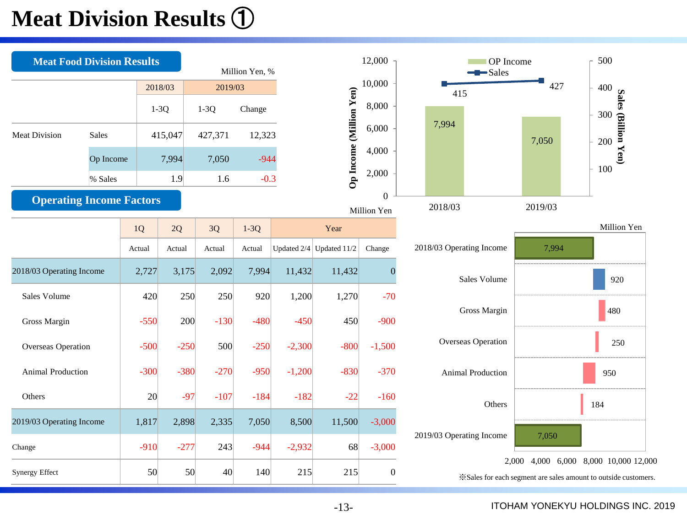## **Meat Division Results** ①

| <b>Meat Food Division Results</b> |              |        |         |            | Million Yen, % |          |                                           | 12,000                  | OP Income<br>$-Sales$    |         | 500                                                                                                                    |
|-----------------------------------|--------------|--------|---------|------------|----------------|----------|-------------------------------------------|-------------------------|--------------------------|---------|------------------------------------------------------------------------------------------------------------------------|
|                                   |              |        | 2018/03 | 2019/03    |                |          |                                           | 10,000                  | 415                      | 427     |                                                                                                                        |
|                                   |              |        | $1-3Q$  | $1-3Q$     | Change         |          |                                           | 8,000                   |                          |         |                                                                                                                        |
| <b>Meat Division</b>              | <b>Sales</b> |        | 415,047 | 427,371    | 12,323         |          | Op Income (Million Yen)<br>6,000<br>4,000 |                         | 7,994                    | 7,050   | $\begin{array}{c}\n 400 \\ \hline\n 300 \\ \hline\n 300 \\ \hline\n 300 \\ \hline\n 200 \\ \hline\n 100\n \end{array}$ |
|                                   | Op Income    |        | 7,994   | 7,050      | $-944$         |          |                                           |                         |                          |         | 100                                                                                                                    |
|                                   | % Sales      |        | 1.9     | 1.6        | $-0.3$         |          |                                           | 2,000                   |                          |         |                                                                                                                        |
| <b>Operating Income Factors</b>   |              |        |         |            |                |          |                                           | $\Omega$<br>Million Yen | 2018/03                  | 2019/03 |                                                                                                                        |
|                                   |              | 1Q     | 2Q      | $3{\rm Q}$ | $1-3Q$         |          | Year                                      |                         |                          |         | Million Yen                                                                                                            |
|                                   |              | Actual | Actual  | Actual     | Actual         |          | Updated $2/4$ Updated 11/2                | Change                  | 2018/03 Operating Income | 7,994   |                                                                                                                        |
| 2018/03 Operating Income          |              | 2,727  | 3,175   | 2,092      | 7,994          | 11,432   | 11,432                                    | $\boldsymbol{0}$        | Sales Volume             |         | 920                                                                                                                    |
| Sales Volume                      |              | 420    | 250     | 250        | 920            | 1,200    | 1,270                                     | $-70$                   |                          |         |                                                                                                                        |
| Gross Margin                      |              | $-550$ | 200     | $-130$     | $-480$         | $-450$   | 450                                       | $-900$                  | Gross Margin             |         | 480                                                                                                                    |
| Overseas Operation                |              | $-500$ | $-250$  | 500        | $-250$         | $-2,300$ | $-800$                                    | $-1,500$                | Overseas Operation       |         | 250                                                                                                                    |
| Animal Production                 |              | $-300$ | $-380$  | $-270$     | $-950$         | $-1,200$ | $-830$                                    | $-370$                  | <b>Animal Production</b> |         | 950                                                                                                                    |
| Others                            |              | 20     | $-97$   | $-107$     | $-184$         | $-182$   | $-22$                                     | $-160$                  | Others                   |         | 184                                                                                                                    |
| 2019/03 Operating Income          |              | 1,817  | 2,898   | 2,335      | 7,050          | 8,500    | 11,500                                    | $-3,000$                | 2019/03 Operating Income |         |                                                                                                                        |
| Change                            |              | $-910$ | $-277$  | 243        | $-944$         | $-2,932$ | 68                                        | $-3,000$                |                          | 7,050   |                                                                                                                        |
| Synergy Effect                    |              | 50     | 50      | 40         | 140            | 215      | 215                                       | $\overline{0}$          |                          |         | 2,000 4,000 6,000 8,000 10,000 12,000<br>*Sales for each segment are sales amount to outside customers.                |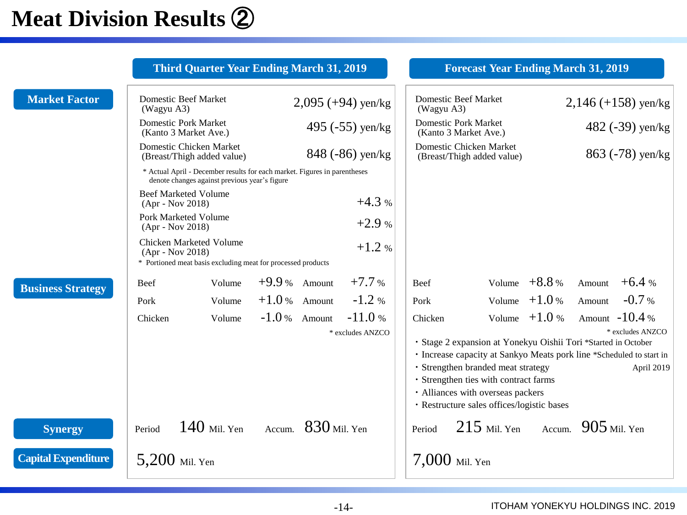## **Meat Division Results** ②

|                            |                                                                                                                        | <b>Third Quarter Year Ending March 31, 2019</b>                                                                            |                 |                       |                              |            | <b>Forecast Year Ending March 31, 2019</b>                                                                                                                                                                                                                                                               |                |                       |                                                   |  |
|----------------------------|------------------------------------------------------------------------------------------------------------------------|----------------------------------------------------------------------------------------------------------------------------|-----------------|-----------------------|------------------------------|------------|----------------------------------------------------------------------------------------------------------------------------------------------------------------------------------------------------------------------------------------------------------------------------------------------------------|----------------|-----------------------|---------------------------------------------------|--|
| <b>Market Factor</b>       | <b>Domestic Beef Market</b><br>(Wagyu A3)                                                                              |                                                                                                                            |                 |                       | $2,095 (+94)$ yen/kg         | (Wagyu A3) | <b>Domestic Beef Market</b>                                                                                                                                                                                                                                                                              |                | $2,146 (+158)$ yen/kg |                                                   |  |
|                            | <b>Domestic Pork Market</b><br>(Kanto 3 Market Ave.)                                                                   |                                                                                                                            |                 |                       | 495 $(-55)$ yen/kg           |            | <b>Domestic Pork Market</b><br>(Kanto 3 Market Ave.)                                                                                                                                                                                                                                                     |                |                       | 482 $(-39)$ yen/kg                                |  |
|                            |                                                                                                                        | Domestic Chicken Market<br>(Breast/Thigh added value)                                                                      |                 |                       | 848 (-86) yen/kg             |            | Domestic Chicken Market<br>(Breast/Thigh added value)                                                                                                                                                                                                                                                    |                | 863 (-78) yen/kg      |                                                   |  |
|                            |                                                                                                                        | * Actual April - December results for each market. Figures in parentheses<br>denote changes against previous year's figure |                 |                       |                              |            |                                                                                                                                                                                                                                                                                                          |                |                       |                                                   |  |
|                            | <b>Beef Marketed Volume</b><br>(Apr - Nov 2018)                                                                        |                                                                                                                            | $+4.3%$         |                       |                              |            |                                                                                                                                                                                                                                                                                                          |                |                       |                                                   |  |
|                            | Pork Marketed Volume<br>$(Apr - Nov 2018)$                                                                             |                                                                                                                            | $+2.9%$         |                       |                              |            |                                                                                                                                                                                                                                                                                                          |                |                       |                                                   |  |
|                            | Chicken Marketed Volume<br>$+1.2%$<br>(Apr - Nov 2018)<br>* Portioned meat basis excluding meat for processed products |                                                                                                                            |                 |                       |                              |            |                                                                                                                                                                                                                                                                                                          |                |                       |                                                   |  |
| <b>Business Strategy</b>   | Beef                                                                                                                   | Volume                                                                                                                     | $+9.9%$ Amount  |                       | $+7.7%$                      | Beef       |                                                                                                                                                                                                                                                                                                          | Volume $+8.8%$ | Amount $+6.4%$        |                                                   |  |
|                            | Pork                                                                                                                   | Volume                                                                                                                     | $+1.0$ % Amount |                       | $-1.2%$                      | Pork       |                                                                                                                                                                                                                                                                                                          | Volume $+1.0%$ | Amount                | $-0.7%$                                           |  |
|                            | Chicken                                                                                                                | Volume                                                                                                                     | $-1.0%$ Amount  |                       | $-11.0%$<br>* excludes ANZCO | Chicken    | · Stage 2 expansion at Yonekyu Oishii Tori *Started in October<br>· Increase capacity at Sankyo Meats pork line *Scheduled to start in<br>· Strengthen branded meat strategy<br>· Strengthen ties with contract farms<br>· Alliances with overseas packers<br>· Restructure sales offices/logistic bases | Volume $+1.0%$ |                       | Amount $-10.4%$<br>* excludes ANZCO<br>April 2019 |  |
| <b>Synergy</b>             | Period                                                                                                                 | $140$ Mil. Yen                                                                                                             |                 | Accum. $830$ Mil. Yen |                              | Period     | $215$ Mil. Yen Accum. $905$ Mil. Yen                                                                                                                                                                                                                                                                     |                |                       |                                                   |  |
| <b>Capital Expenditure</b> | 5,200 Mil. Yen                                                                                                         |                                                                                                                            |                 |                       |                              |            | $7,000$ Mil. Yen                                                                                                                                                                                                                                                                                         |                |                       |                                                   |  |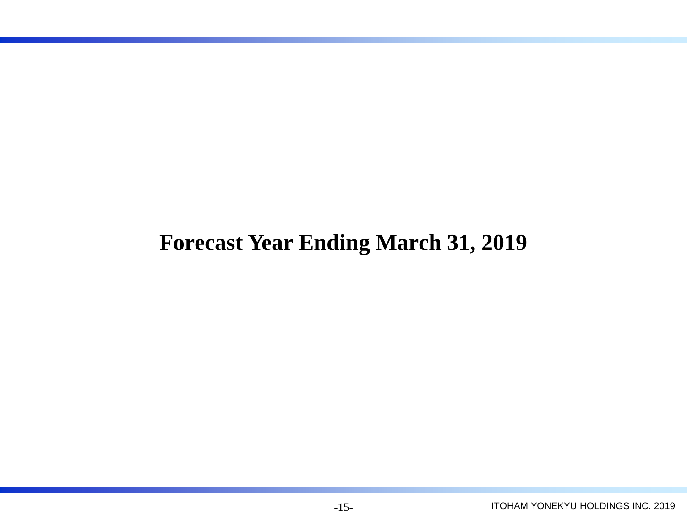## **Forecast Year Ending March 31, 2019**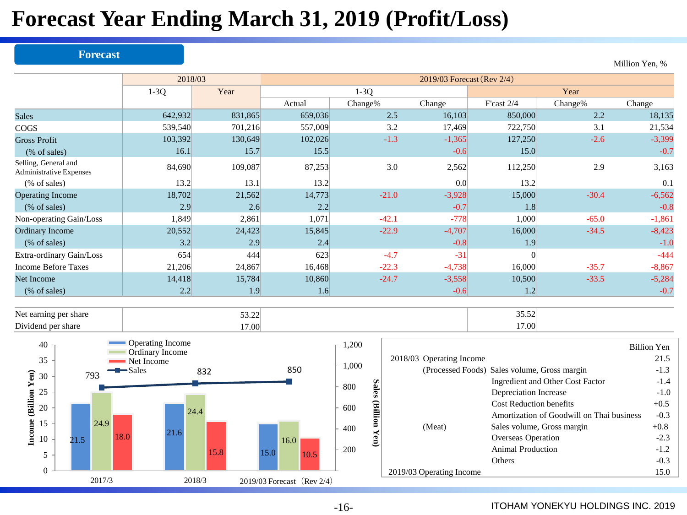## **Forecast Year Ending March 31, 2019 (Profit/Loss)**

#### **Forecast**

|                                                        | 2018/03 |         | 2019/03 Forecast (Rev 2/4) |         |          |              |         |          |  |  |  |  |
|--------------------------------------------------------|---------|---------|----------------------------|---------|----------|--------------|---------|----------|--|--|--|--|
|                                                        | $1-3Q$  | Year    |                            | $1-3Q$  |          |              | Year    |          |  |  |  |  |
|                                                        |         |         | Actual                     | Change% | Change   | F'cast $2/4$ | Change% | Change   |  |  |  |  |
| <b>Sales</b>                                           | 642,932 | 831,865 | 659,036                    | 2.5     | 16,103   | 850,000      | 2.2     | 18,135   |  |  |  |  |
| COGS                                                   | 539,540 | 701,216 | 557,009                    | 3.2     | 17,469   | 722,750      | 3.1     | 21,534   |  |  |  |  |
| <b>Gross Profit</b>                                    | 103,392 | 130,649 | 102,026                    | $-1.3$  | $-1,365$ | 127,250      | $-2.6$  | $-3,399$ |  |  |  |  |
| (% of sales)                                           | 16.1    | 15.7    | 15.5                       |         | $-0.6$   | 15.0         |         | $-0.7$   |  |  |  |  |
| Selling, General and<br><b>Administrative Expenses</b> | 84,690  | 109,087 | 87,253                     | 3.0     | 2,562    | 112,250      | 2.9     | 3,163    |  |  |  |  |
| (% of sales)                                           | 13.2    | 13.1    | 13.2                       |         | 0.0      | 13.2         |         | 0.1      |  |  |  |  |
| <b>Operating Income</b>                                | 18,702  | 21,562  | 14,773                     | $-21.0$ | $-3,928$ | 15,000       | $-30.4$ | $-6,562$ |  |  |  |  |
| $(\%$ of sales)                                        | 2.9     | 2.6     | 2.2                        |         | $-0.7$   | 1.8          |         | $-0.8$   |  |  |  |  |
| Non-operating Gain/Loss                                | 1,849   | 2,861   | 1,071                      | $-42.1$ | $-778$   | 1,000        | $-65.0$ | $-1,861$ |  |  |  |  |
| <b>Ordinary Income</b>                                 | 20,552  | 24,423  | 15,845                     | $-22.9$ | $-4,707$ | 16,000       | $-34.5$ | $-8,423$ |  |  |  |  |
| $%$ of sales)                                          | 3.2     | 2.9     | 2.4                        |         | $-0.8$   | 1.9          |         | $-1.0$   |  |  |  |  |
| Extra-ordinary Gain/Loss                               | 654     | 444     | 623                        | $-4.7$  | $-31$    |              |         | $-444$   |  |  |  |  |
| Income Before Taxes                                    | 21,206  | 24,867  | 16,468                     | $-22.3$ | $-4,738$ | 16,000       | $-35.7$ | $-8,867$ |  |  |  |  |
| Net Income                                             | 14,418  | 15,784  | 10,860                     | $-24.7$ | $-3,558$ | 10,500       | $-33.5$ | $-5,284$ |  |  |  |  |
| (% of sales)                                           | 2.2     | 1.9     | 1.6                        |         | $-0.6$   | 1.2          |         | $-0.7$   |  |  |  |  |
|                                                        |         |         |                            |         |          |              |         |          |  |  |  |  |

Net earning per share  $53.22$  35.52 Dividend per share 17.00 17.00 17.00 17.00 17.00 17.00 17.00 17.00 17.00 17.00 17.00 17.00 17.00 17.00 17.00 17.00 17.00 17.00 17.00 17.00 17.00 17.00 17.00 17.00 17.00 17.00 17.00 17.00 17.00 17.00 17.00 17.00 17.00 17.00



|               |                          |                                              | <b>Billion Yen</b> |
|---------------|--------------------------|----------------------------------------------|--------------------|
|               | 2018/03 Operating Income |                                              | 21.5               |
|               |                          | (Processed Foods) Sales volume, Gross margin | $-1.3$             |
|               |                          | Ingredient and Other Cost Factor             | $-1.4$             |
| <b>Sales</b>  |                          | Depreciation Increase                        | $-1.0$             |
|               |                          | <b>Cost Reduction benefits</b>               | $+0.5$             |
| (Billion Yen) |                          | Amortization of Goodwill on Thai business    | $-0.3$             |
|               | (Meat)                   | Sales volume, Gross margin                   | $+0.8$             |
|               |                          | Overseas Operation                           | $-2.3$             |
|               |                          | Animal Production                            | $-1.2$             |
|               |                          | Others                                       | $-0.3$             |
|               | 2019/03 Operating Income |                                              | 15.0               |
|               |                          |                                              |                    |

### Million Yen, %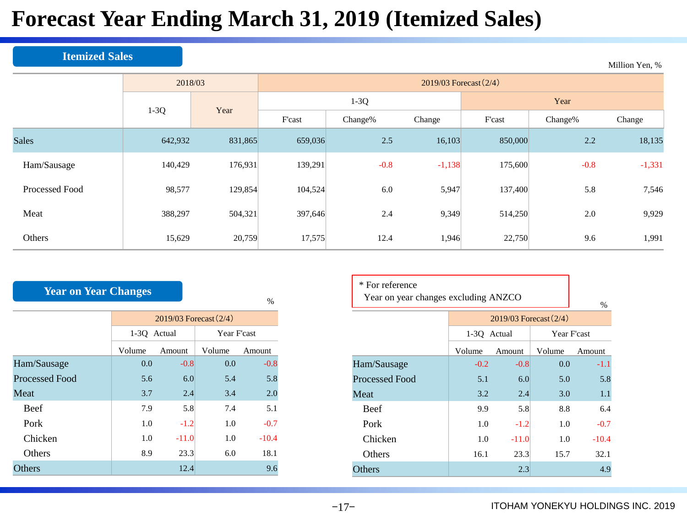## **Forecast Year Ending March 31, 2019 (Itemized Sales)**

### **Itemized Sales**

|                | 2018/03 |         | 2019/03 Forecast (2/4) |         |          |         |         |          |  |  |  |  |
|----------------|---------|---------|------------------------|---------|----------|---------|---------|----------|--|--|--|--|
|                |         | Year    |                        | $1-3Q$  |          | Year    |         |          |  |  |  |  |
|                | $1-3Q$  |         | F'cast                 | Change% | Change   | F'cast  | Change% | Change   |  |  |  |  |
| <b>Sales</b>   | 642,932 | 831,865 | 659,036                | 2.5     | 16,103   | 850,000 | 2.2     | 18,135   |  |  |  |  |
| Ham/Sausage    | 140,429 | 176,931 | 139,291                | $-0.8$  | $-1,138$ | 175,600 | $-0.8$  | $-1,331$ |  |  |  |  |
| Processed Food | 98,577  | 129,854 | 104,524                | 6.0     | 5,947    | 137,400 | 5.8     | 7,546    |  |  |  |  |
| Meat           | 388,297 | 504,321 | 397,646                | 2.4     | 9,349    | 514,250 | 2.0     | 9,929    |  |  |  |  |
| Others         | 15,629  | 20,759  | 17,575                 | 12.4    | 1,946    | 22,750  | 9.6     | 1,991    |  |  |  |  |

| <b>Year on Year Changes</b> |                            |         |             |         |  |  |  |  |  |  |  |
|-----------------------------|----------------------------|---------|-------------|---------|--|--|--|--|--|--|--|
|                             |                            |         |             | $\%$    |  |  |  |  |  |  |  |
|                             | $2019/03$ Forecast $(2/4)$ |         |             |         |  |  |  |  |  |  |  |
|                             | 1-3Q Actual                |         | Year F'cast |         |  |  |  |  |  |  |  |
|                             | Volume                     | Amount  | Volume      | Amount  |  |  |  |  |  |  |  |
| Ham/Sausage                 | 0.0                        | $-0.8$  | 0.0         | $-0.8$  |  |  |  |  |  |  |  |
| <b>Processed Food</b>       | 5.6                        | 6.0     | 5.4         | 5.8     |  |  |  |  |  |  |  |
| Meat                        | 3.7                        | 2.4     | 3.4         | 2.0     |  |  |  |  |  |  |  |
| Beef                        | 7.9                        | 5.8     | 7.4         | 5.1     |  |  |  |  |  |  |  |
| Pork                        | 1.0                        | $-1.2$  | 1.0         | $-0.7$  |  |  |  |  |  |  |  |
| Chicken                     | 1.0                        | $-11.0$ | 1.0         | $-10.4$ |  |  |  |  |  |  |  |
| Others                      | 8.9                        | 23.3    | 6.0         | 18.1    |  |  |  |  |  |  |  |
| Others                      |                            | 12.4    |             | 9.6     |  |  |  |  |  |  |  |

| * For reference<br>Year on year changes excluding ANZCO | $\%$        |                            |        |         |  |  |
|---------------------------------------------------------|-------------|----------------------------|--------|---------|--|--|
|                                                         |             | $2019/03$ Forecast $(2/4)$ |        |         |  |  |
|                                                         | 1-3Q Actual | Year F'cast                |        |         |  |  |
|                                                         | Volume      | Amount                     | Volume | Amount  |  |  |
| Ham/Sausage                                             | $-0.2$      | $-0.8$                     | 0.0    | $-1.1$  |  |  |
| Processed Food                                          | 5.1         | 6.0                        | 5.0    | 5.8     |  |  |
| Meat                                                    | 3.2         | 2.4                        | 3.0    | 1.1     |  |  |
| <b>Beef</b>                                             | 9.9         | 5.8                        | 8.8    | 6.4     |  |  |
| Pork                                                    | 1.0         | $-1.2$                     | 1.0    | $-0.7$  |  |  |
| Chicken                                                 | 1.0         | $-11.0$                    | 1.0    | $-10.4$ |  |  |
| Others                                                  | 16.1        | 23.3                       | 15.7   | 32.1    |  |  |
| Others                                                  |             | 2.3                        |        | 4.9     |  |  |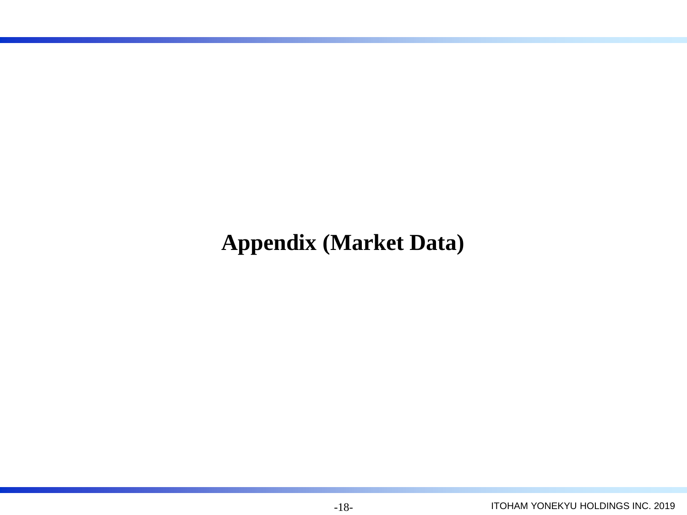## **Appendix (Market Data)**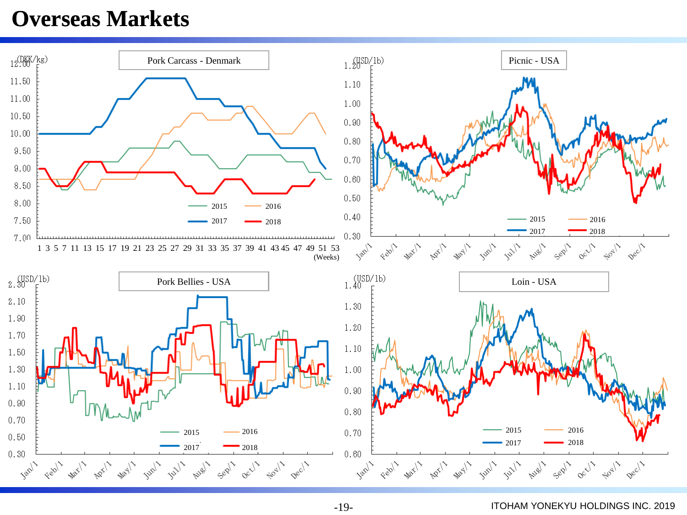### **Overseas Markets**

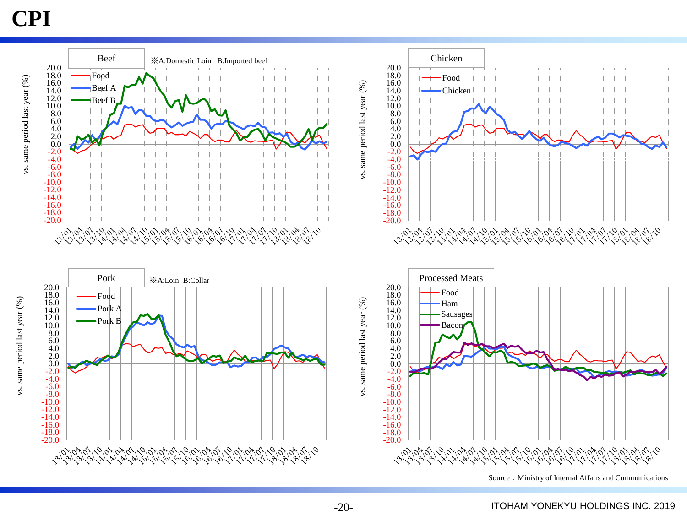## **CPI**



-20-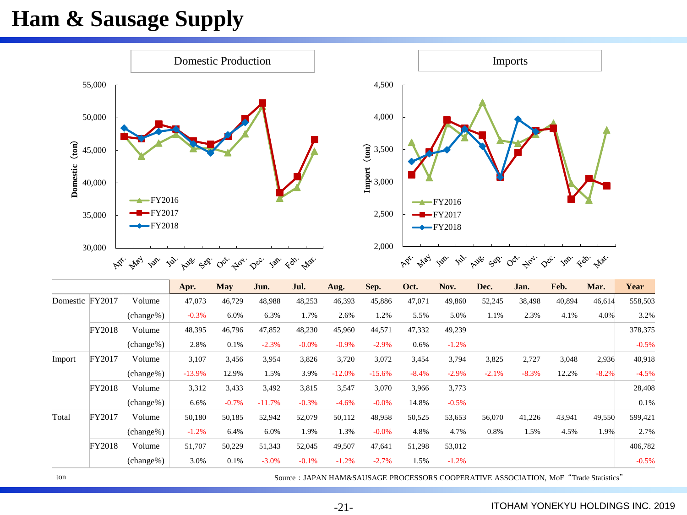## **Ham & Sausage Supply**



|                 |        |              | Apr.     | <b>May</b> | Jun.     | Jul.    | Aug.     | Sep.     | Oct.    | Nov.    | Dec.    | Jan.    | Feb.   | Mar.    | Year    |
|-----------------|--------|--------------|----------|------------|----------|---------|----------|----------|---------|---------|---------|---------|--------|---------|---------|
| Domestic FY2017 |        | Volume       | 47,073   | 46,729     | 48,988   | 48,253  | 46,393   | 45,886   | 47,071  | 49,860  | 52,245  | 38,498  | 40,894 | 46,614  | 558,503 |
|                 |        | (change%)    | $-0.3%$  | 6.0%       | 6.3%     | 1.7%    | 2.6%     | 1.2%     | 5.5%    | 5.0%    | 1.1%    | 2.3%    | 4.1%   | 4.0%    | 3.2%    |
|                 | FY2018 | Volume       | 48,395   | 46,796     | 47,852   | 48,230  | 45,960   | 44,571   | 47,332  | 49,239  |         |         |        |         | 378,375 |
|                 |        | (change%)    | 2.8%     | 0.1%       | $-2.3%$  | $-0.0%$ | $-0.9\%$ | $-2.9%$  | 0.6%    | $-1.2%$ |         |         |        |         | $-0.5%$ |
| Import          | FY2017 | Volume       | 3,107    | 3,456      | 3,954    | 3,826   | 3,720    | 3,072    | 3,454   | 3,794   | 3,825   | 2,727   | 3,048  | 2,936   | 40,918  |
|                 |        | (change%)    | $-13.9%$ | 12.9%      | 1.5%     | 3.9%    | $-12.0%$ | $-15.6%$ | $-8.4%$ | $-2.9%$ | $-2.1%$ | $-8.3%$ | 12.2%  | $-8.2%$ | $-4.5%$ |
|                 | FY2018 | Volume       | 3,312    | 3.433      | 3,492    | 3,815   | 3,547    | 3,070    | 3,966   | 3,773   |         |         |        |         | 28,408  |
|                 |        | $(charge\%)$ | 6.6%     | $-0.7%$    | $-11.7%$ | $-0.3%$ | $-4.6%$  | $-0.0%$  | 14.8%   | $-0.5%$ |         |         |        |         | 0.1%    |
| Total           | FY2017 | Volume       | 50,180   | 50,185     | 52,942   | 52,079  | 50,112   | 48,958   | 50,525  | 53,653  | 56,070  | 41,226  | 43,941 | 49,550  | 599,421 |
|                 |        | $(charge\%)$ | $-1.2%$  | 6.4%       | 6.0%     | 1.9%    | 1.3%     | $-0.0%$  | 4.8%    | 4.7%    | 0.8%    | 1.5%    | 4.5%   | 1.9%    | 2.7%    |
|                 | FY2018 | Volume       | 51,707   | 50,229     | 51,343   | 52,045  | 49,507   | 47,641   | 51,298  | 53,012  |         |         |        |         | 406,782 |
|                 |        | $(change\%)$ | 3.0%     | 0.1%       | $-3.0%$  | $-0.1%$ | $-1.2%$  | $-2.7%$  | 1.5%    | $-1.2%$ |         |         |        |         | $-0.5%$ |

ton Source: JAPAN HAM&SAUSAGE PROCESSORS COOPERATIVE ASSOCIATION, MoF "Trade Statistics"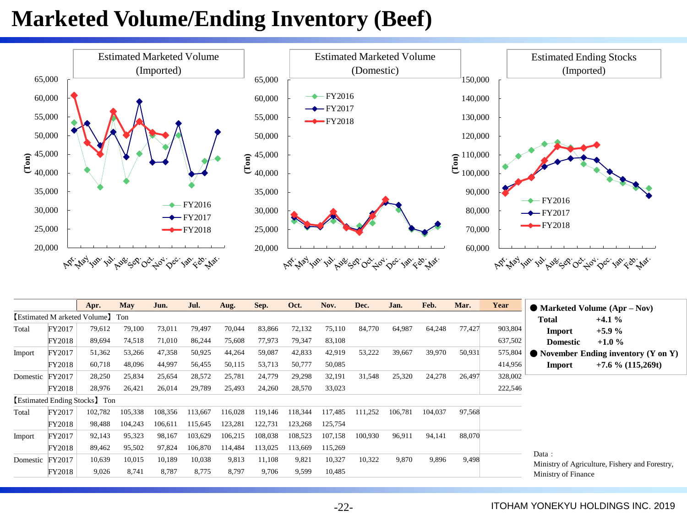## **Marketed Volume/Ending Inventory (Beef)**



|                 |        | Apr.                             | May     | Jun.    | Jul.    | Aug.    | Sep.    | Oct.    | Nov.    | Dec.    | Jan.    | Feb.    | Mar.   | Year    | $\bullet$ Marketed Volume (Apr – Nov) |                                                |
|-----------------|--------|----------------------------------|---------|---------|---------|---------|---------|---------|---------|---------|---------|---------|--------|---------|---------------------------------------|------------------------------------------------|
|                 |        | [Estimated M arketed Volume] Ton |         |         |         |         |         |         |         |         |         |         |        |         | Total                                 | $+4.1%$                                        |
| Total           | FY2017 | 79,612                           | 79,100  | 73,011  | 79,497  | 70,044  | 83,866  | 72,132  | 75,110  | 84,770  | 64,987  | 64,248  | 77,427 | 903,804 | Import                                | $+5.9%$                                        |
|                 | FY2018 | 89,694                           | 74,518  | 71,010  | 86,244  | 75,608  | 77,973  | 79,347  | 83,108  |         |         |         |        | 637,502 | <b>Domestic</b>                       | $+1.0%$                                        |
| Import          | FY2017 | 51,362                           | 53,266  | 47,358  | 50,925  | 44,264  | 59,087  | 42,833  | 42,919  | 53,222  | 39,667  | 39,970  | 50,931 | 575,804 |                                       | $\bullet$ November Ending inventory (Y on Y)   |
|                 | FY2018 | 60,718                           | 48,096  | 44,997  | 56,455  | 50,115  | 53,713  | 50,777  | 50,085  |         |         |         |        | 414,956 | Import                                | $+7.6\%$ (115,269t)                            |
| Domestic        | FY2017 | 28,250                           | 25,834  | 25,654  | 28,572  | 25,781  | 24,779  | 29,298  | 32,191  | 31,548  | 25,320  | 24,278  | 26,497 | 328,002 |                                       |                                                |
|                 | FY2018 | 28,976                           | 26,421  | 26,014  | 29,789  | 25,493  | 24,260  | 28,570  | 33,023  |         |         |         |        | 222,546 |                                       |                                                |
|                 |        | [Estimated Ending Stocks] Ton    |         |         |         |         |         |         |         |         |         |         |        |         |                                       |                                                |
| Total           | FY2017 | 102,782                          | 105,338 | 108,356 | 113,667 | 116,028 | 119,146 | 118,344 | 117,485 | 111,252 | 106,781 | 104,037 | 97,568 |         |                                       |                                                |
|                 | FY2018 | 98,488                           | 104,243 | 106.611 | 115,645 | 123,281 | 122,731 | 123,268 | 125,754 |         |         |         |        |         |                                       |                                                |
| Import          | FY2017 | 92,143                           | 95,323  | 98,167  | 103,629 | 106,215 | 108,038 | 108,523 | 107,158 | 100,930 | 96,911  | 94,141  | 88,070 |         |                                       |                                                |
|                 | FY2018 | 89,462                           | 95,502  | 97,824  | 106,870 | 114,484 | 113,025 | 113,669 | 115,269 |         |         |         |        |         |                                       |                                                |
| Domestic FY2017 |        | 10,639                           | 10,015  | 10,189  | 10,038  | 9,813   | 11,108  | 9,821   | 10,327  | 10,322  | 9,870   | 9,896   | 9,498  |         | Data:                                 |                                                |
|                 | FY2018 | 9,026                            | 8,741   | 8,787   | 8,775   | 8,797   | 9,706   | 9,599   | 10,485  |         |         |         |        |         | Ministry of Finance                   | Ministry of Agriculture, Fishery and Forestry, |

#### -22- ITOHAM YONEKYU HOLDINGS INC. 2019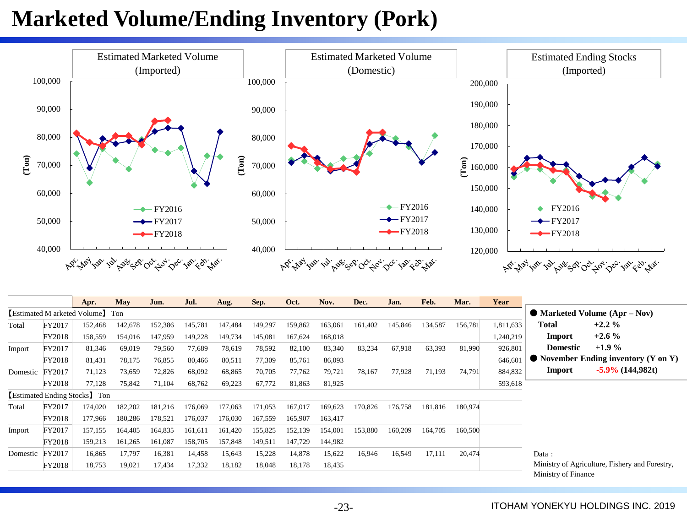## **Marketed Volume/Ending Inventory (Pork)**



|          |        | Apr.                             | May     | Jun.    | Jul.    | Aug.    | Sep.    | Oct.    | Nov.    | Dec.    | Jan.    | Feb.    | Mar.    | Year      |                                                     |                                                |
|----------|--------|----------------------------------|---------|---------|---------|---------|---------|---------|---------|---------|---------|---------|---------|-----------|-----------------------------------------------------|------------------------------------------------|
|          |        | [Estimated M arketed Volume] Ton |         |         |         |         |         |         |         |         |         |         |         |           |                                                     | $\bullet$ Marketed Volume (Apr – Nov)          |
| Total    | FY2017 | 152,468                          | 142,678 | 152,386 | 145,781 | 147,484 | 149,297 | 159,862 | 163,061 | 161,402 | 145,846 | 134,587 | 156,781 | 1,811,633 | Total                                               | $+2.2\%$                                       |
|          | FY2018 | 158,559                          | 154,016 | 147,959 | 149,228 | 149,734 | 145,081 | 167,624 | 168,018 |         |         |         |         | 1,240,219 | Import                                              | $+2.6\%$                                       |
| Import   | FY2017 | 81,346                           | 69,019  | 79,560  | 77,689  | 78,619  | 78,592  | 82,100  | 83,340  | 83,234  | 67,918  | 63,393  | 81,990  | 926,801   | <b>Domestic</b>                                     | $+1.9%$                                        |
|          | FY2018 | 81,431                           | 78,175  | 76,855  | 80,466  | 80,511  | 77,309  | 85,761  | 86,093  |         |         |         |         | 646,601   |                                                     | $\bullet$ November Ending inventory (Y on Y)   |
| Domestic | FY2017 | 71,123                           | 73,659  | 72,826  | 68,092  | 68,865  | 70,705  | 77,762  | 79,721  | 78,167  | 77,928  | 71,193  | 74,791  | 884,832   | Import                                              | $-5.9\%$ (144,982t)                            |
|          | FY2018 | 77,128                           | 75,842  | 71,104  | 68,762  | 69,223  | 67,772  | 81,863  | 81,925  |         |         |         |         | 593,618   |                                                     |                                                |
|          |        | [Estimated Ending Stocks] Ton    |         |         |         |         |         |         |         |         |         |         |         |           |                                                     |                                                |
| Total    | FY2017 | 174,020                          | 182,202 | 181,216 | 176.069 | 177,063 | 171,053 | 167,017 | 169,623 | 170,826 | 76,758  | 181,816 | 180,974 |           |                                                     |                                                |
|          | FY2018 | 177,966                          | 180,286 | 178,521 | 176,037 | 176,030 | 167,559 | 165,907 | 163,417 |         |         |         |         |           |                                                     |                                                |
| Import   | FY2017 | 157,155                          | 164,405 | 164,835 | 161,611 | 161,420 | 155,825 | 152,139 | 154,001 | 153,880 | 160,209 | 164,705 | 160,500 |           |                                                     |                                                |
|          | FY2018 | 159,213                          | 161,265 | 161,087 | 158,705 | 157,848 | 149,511 | 147,729 | 144,982 |         |         |         |         |           |                                                     |                                                |
| Domestic | FY2017 | 16,865                           | 17,797  | 16,381  | 14,458  | 15,643  | 15,228  | 14,878  | 15,622  | 16,946  | 16,549  | 17,111  | 20,474  |           | Data:                                               |                                                |
|          | FY2018 | 18,753                           | 19,021  | 17,434  | 17,332  | 18,182  | 18,048  | 18,178  | 18,435  |         |         |         |         |           |                                                     | Ministry of Agriculture, Fishery and Forestry, |
|          |        |                                  |         |         |         |         |         |         |         |         |         |         |         |           | $\mathbf{M}^{\prime}$ , $\mathbf{C}$ , $\mathbf{C}$ |                                                |

Ministry of Finance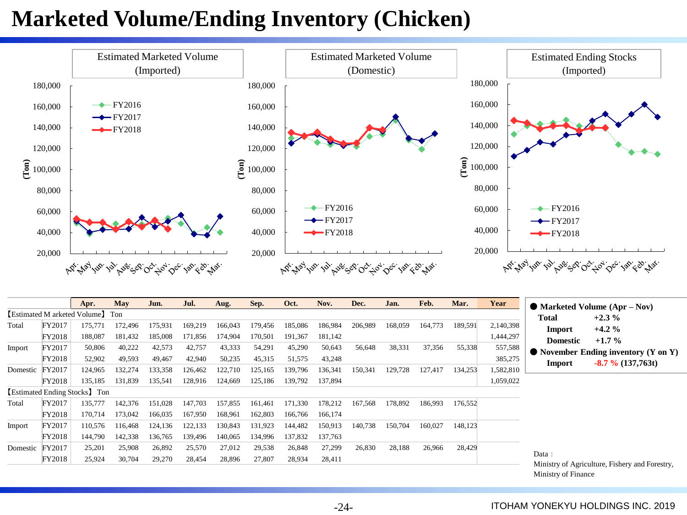## **Marketed Volume/Ending Inventory (Chicken)**



|          |        | Apr.                             | <b>May</b> | Jun.    | Jul.    | Aug.    | Sep.    | Oct.    | Nov.    | Dec.    | Jan.    | Feb.    | Mar.    | Year      |                 | $\bullet$ Marketed Volume (Apr – Nov)          |
|----------|--------|----------------------------------|------------|---------|---------|---------|---------|---------|---------|---------|---------|---------|---------|-----------|-----------------|------------------------------------------------|
|          |        | [Estimated M arketed Volume] Ton |            |         |         |         |         |         |         |         |         |         |         |           | Total           | $+2.3\%$                                       |
| Total    | FY2017 | 175,771                          | 172,496    | 175,931 | 169,219 | 166,043 | 179,456 | 185,086 | 186,984 | 206,989 | 168,059 | 164,773 | 189,591 | 2,140,398 | Import          | $+4.2%$                                        |
|          | FY2018 | 188,087                          | 181,432    | 185,008 | 171,856 | 174,904 | 170,501 | 191,367 | 181,142 |         |         |         |         | 1,444,297 | <b>Domestic</b> | $+1.7\%$                                       |
| Import   | FY2017 | 50,806                           | 40,222     | 42,573  | 42,757  | 43,333  | 54,291  | 45,290  | 50,643  | 56,648  | 38,331  | 37,356  | 55,338  | 557,588   |                 |                                                |
|          | FY2018 | 52,902                           | 49,593     | 49,467  | 42,940  | 50,235  | 45,315  | 51,575  | 43,248  |         |         |         |         | 385,275   |                 | $\bullet$ November Ending inventory (Y on Y)   |
| Domestic | FY2017 | 124,965                          | 132,274    | 133,358 | 126,462 | 122,710 | 125,165 | 139,796 | 136,341 | 150,341 | 129,728 | 127,417 | 134,253 | 1,582,810 | Import          | $-8.7\%$ (137,763t)                            |
|          | FY2018 | 135,185                          | 131,839    | 135,541 | 128,916 | 124,669 | 125,186 | 139,792 | 137,894 |         |         |         |         | 1,059,022 |                 |                                                |
|          |        | [Estimated Ending Stocks] Ton    |            |         |         |         |         |         |         |         |         |         |         |           |                 |                                                |
| Total    | FY2017 | 135,777                          | 142,376    | 151,028 | 147,703 | 157,855 | 161,461 | 171,330 | 178,212 | 167,568 | 178.892 | 186.993 | 176.552 |           |                 |                                                |
|          | FY2018 | 170,714                          | 173,042    | 166,035 | 167,950 | 168,961 | 162,803 | 166,766 | 166,174 |         |         |         |         |           |                 |                                                |
| Import   | FY2017 | 110,576                          | 116,468    | 124,136 | 122,133 | 130,843 | 131,923 | 144,482 | 150,913 | 140,738 | 150,704 | 160,027 | 148.123 |           |                 |                                                |
|          | FY2018 | 144,790                          | 142,338    | 136,765 | 139.496 | 140,065 | 134,996 | 137,832 | 137,763 |         |         |         |         |           |                 |                                                |
| Domestic | FY2017 | 25,201                           | 25,908     | 26,892  | 25,570  | 27,012  | 29,538  | 26,848  | 27,299  | 26,830  | 28,188  | 26,966  | 28,429  |           |                 |                                                |
|          | FY2018 | 25,924                           | 30,704     | 29,270  | 28,454  | 28,896  | 27,807  | 28,934  | 28,411  |         |         |         |         |           | Data :          | Ministry of Agriculture, Fishery and Forestry, |

iculture, Fishery and Forestry, Ministry of Finance